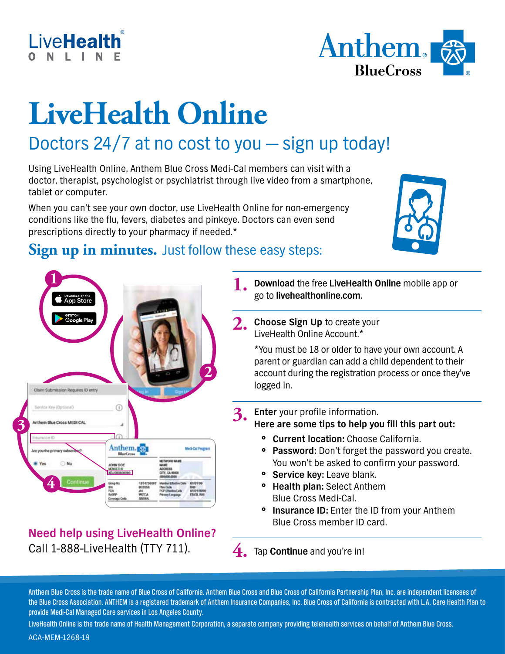



# **LiveHealth Online**

# Doctors 24/7 at no cost to you — sign up today!

Using LiveHealth Online, Anthem Blue Cross Medi-Cal members can visit with a doctor, therapist, psychologist or psychiatrist through live video from a smartphone, tablet or computer.

When you can't see your own doctor, use LiveHealth Online for non-emergency conditions like the flu, fevers, diabetes and pinkeye. Doctors can even send prescriptions directly to your pharmacy if needed.\*



### **Sign up in minutes.** Just follow these easy steps:



#### **Need help using LiveHealth Online?**  Call 1-888-LiveHealth (TTY 711).

**1. Download** the free **LiveHealth Online** mobile app or go to **livehealthonline.com**.

**2.** Choose Sign Up to create your LiveHealth Online Account.\*

> \*You must be 18 or older to have your own account. A parent or guardian can add a child dependent to their account during the registration process or once they've logged in.

- **3. Enter** your profile information. **Here are some tips to help you fill this part out:**
	- **Current location:** Choose California.
	- **Password:** Don't forget the password you create. You won't be asked to confirm your password.
	- **Service key:** Leave blank.
	- **Health plan: Select Anthem** Blue Cross Medi-Cal.
	- **Insurance ID:** Enter the ID from your Anthem Blue Cross member ID card.

**4.** Tap **Continue** and you're in!

Anthem Blue Cross is the trade name of Blue Cross of California. Anthem Blue Cross and Blue Cross of California Partnership Plan, Inc. are independent licensees of the Blue Cross Association. ANTHEM is a registered trademark of Anthem Insurance Companies, Inc. Blue Cross of California is contracted with L.A. Care Health Plan to provide Medi-Cal Managed Care services in Los Angeles County.

LiveHealth Online is the trade name of Health Management Corporation, a separate company providing telehealth services on behalf of Anthem Blue Cross. ACA-MEM-1268-19